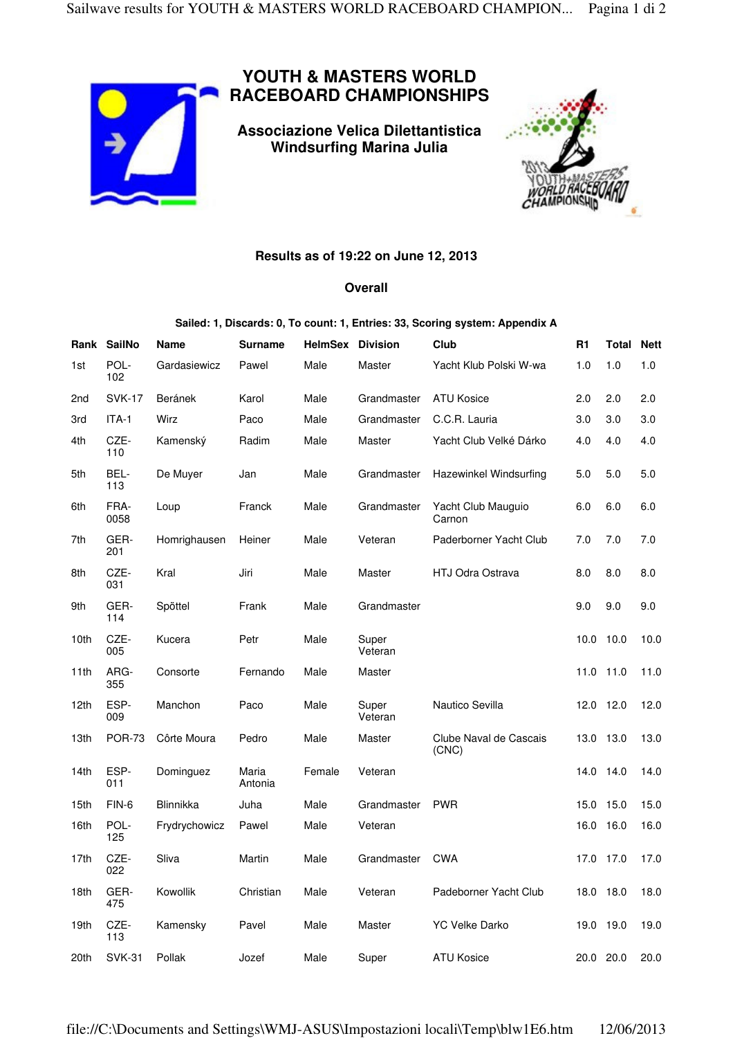

## **YOUTH & MASTERS WORLD RACEBOARD CHAMPIONSHIPS**

**Associazione Velica Dilettantistica Windsurfing Marina Julia** 



## **Results as of 19:22 on June 12, 2013**

## **Overall**

## **Sailed: 1, Discards: 0, To count: 1, Entries: 33, Scoring system: Appendix A**

|                  | Rank SailNo   | <b>Name</b>      | Surname          | <b>HelmSex</b> | <b>Division</b>  | Club                            | R <sub>1</sub> | Total     | <b>Nett</b> |
|------------------|---------------|------------------|------------------|----------------|------------------|---------------------------------|----------------|-----------|-------------|
| 1st              | POL-<br>102   | Gardasiewicz     | Pawel            | Male           | Master           | Yacht Klub Polski W-wa          | 1.0            | 1.0       | 1.0         |
| 2nd              | <b>SVK-17</b> | Beránek          | Karol            | Male           | Grandmaster      | <b>ATU Kosice</b>               | 2.0            | 2.0       | 2.0         |
| 3rd              | ITA-1         | Wirz             | Paco             | Male           | Grandmaster      | C.C.R. Lauria                   | 3.0            | 3.0       | 3.0         |
| 4th              | CZE-<br>110   | Kamenský         | Radim            | Male           | Master           | Yacht Club Velké Dárko          | 4.0            | 4.0       | 4.0         |
| 5th              | BEL-<br>113   | De Muyer         | Jan              | Male           | Grandmaster      | Hazewinkel Windsurfing          | 5.0            | 5.0       | 5.0         |
| 6th              | FRA-<br>0058  | Loup             | Franck           | Male           | Grandmaster      | Yacht Club Mauguio<br>Carnon    | 6.0            | 6.0       | 6.0         |
| 7th              | GER-<br>201   | Homrighausen     | Heiner           | Male           | Veteran          | Paderborner Yacht Club          | 7.0            | 7.0       | 7.0         |
| 8th              | CZE-<br>031   | Kral             | Jiri             | Male           | Master           | <b>HTJ Odra Ostrava</b>         | 8.0            | 8.0       | 8.0         |
| 9th              | GER-<br>114   | Spöttel          | Frank            | Male           | Grandmaster      |                                 | 9.0            | 9.0       | 9.0         |
| 10th             | CZE-<br>005   | Kucera           | Petr             | Male           | Super<br>Veteran |                                 | 10.0           | 10.0      | 10.0        |
| 11th             | ARG-<br>355   | Consorte         | Fernando         | Male           | Master           |                                 | 11.0           | 11.0      | 11.0        |
| 12th             | ESP-<br>009   | Manchon          | Paco             | Male           | Super<br>Veteran | Nautico Sevilla                 |                | 12.0 12.0 | 12.0        |
| 13th             | <b>POR-73</b> | Côrte Moura      | Pedro            | Male           | Master           | Clube Naval de Cascais<br>(CNC) |                | 13.0 13.0 | 13.0        |
| 14th             | ESP-<br>011   | Dominguez        | Maria<br>Antonia | Female         | Veteran          |                                 |                | 14.0 14.0 | 14.0        |
| 15th             | FIN-6         | <b>Blinnikka</b> | Juha             | Male           | Grandmaster      | <b>PWR</b>                      |                | 15.0 15.0 | 15.0        |
| 16th             | POL-<br>125   | Frydrychowicz    | Pawel            | Male           | Veteran          |                                 | 16.0           | 16.0      | 16.0        |
| 17 <sub>th</sub> | CZE-<br>022   | Sliva            | Martin           | Male           | Grandmaster      | <b>CWA</b>                      | 17.0           | 17.0      | 17.0        |
| 18th             | GER-<br>475   | Kowollik         | Christian        | Male           | Veteran          | Padeborner Yacht Club           | 18.0           | 18.0      | 18.0        |
| 19th             | CZE-<br>113   | Kamensky         | Pavel            | Male           | Master           | <b>YC Velke Darko</b>           | 19.0           | 19.0      | 19.0        |
| 20th             | <b>SVK-31</b> | Pollak           | Jozef            | Male           | Super            | <b>ATU Kosice</b>               |                | 20.0 20.0 | 20.0        |